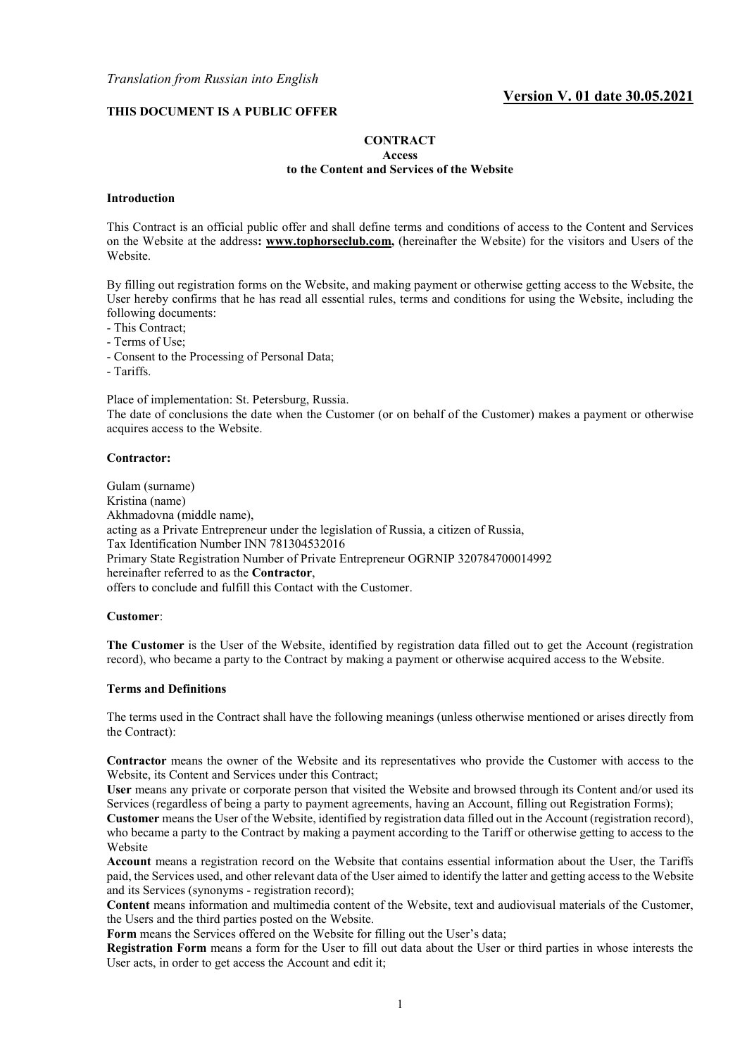## **THIS DOCUMENT IS A PUBLIC OFFER**

#### **CONTRACT Access**

#### **to the Content and Services of the Website**

#### **Introduction**

This Contract is an official public offer and shall define terms and conditions of access to the Content and Services on the Website at the address**: [www.tophorseclub.com,](http://www.tophorseclub.com/)** (hereinafter the Website) for the visitors and Users of the Website.

By filling out registration forms on the Website, and making payment or otherwise getting access to the Website, the User hereby confirms that he has read all essential rules, terms and conditions for using the Website, including the following documents:

- This Contract;
- Terms of Use;
- Consent to the Processing of Personal Data;
- Tariffs.

Place of implementation: St. Petersburg, Russia.

The date of conclusions the date when the Customer (or on behalf of the Customer) makes a payment or otherwise acquires access to the Website.

#### **Contractor:**

Gulam (surname) Kristina (name) Akhmadovna (middle name), acting as a Private Entrepreneur under the legislation of Russia, a citizen of Russia, Tax Identification Number INN 781304532016 Primary State Registration Number of Private Entrepreneur OGRNIP 320784700014992 hereinafter referred to as the **Contractor**, offers to conclude and fulfill this Contact with the Customer.

#### **Customer**:

**The Customer** is the User of the Website, identified by registration data filled out to get the Account (registration record), who became a party to the Contract by making a payment or otherwise acquired access to the Website.

#### **Terms and Definitions**

The terms used in the Contract shall have the following meanings (unless otherwise mentioned or arises directly from the Contract):

**Contractor** means the owner of the Website and its representatives who provide the Customer with access to the Website, its Content and Services under this Contract;

**User** means any private or corporate person that visited the Website and browsed through its Content and/or used its Services (regardless of being a party to payment agreements, having an Account, filling out Registration Forms);

**Customer** means the User of the Website, identified by registration data filled out in the Account (registration record), who became a party to the Contract by making a payment according to the Tariff or otherwise getting to access to the Website

**Account** means a registration record on the Website that contains essential information about the User, the Tariffs paid, the Services used, and other relevant data of the User aimed to identify the latter and getting access to the Website and its Services (synonyms - registration record);

**Content** means information and multimedia content of the Website, text and audiovisual materials of the Customer, the Users and the third parties posted on the Website.

**Form** means the Services offered on the Website for filling out the User's data;

**Registration Form** means a form for the User to fill out data about the User or third parties in whose interests the User acts, in order to get access the Account and edit it;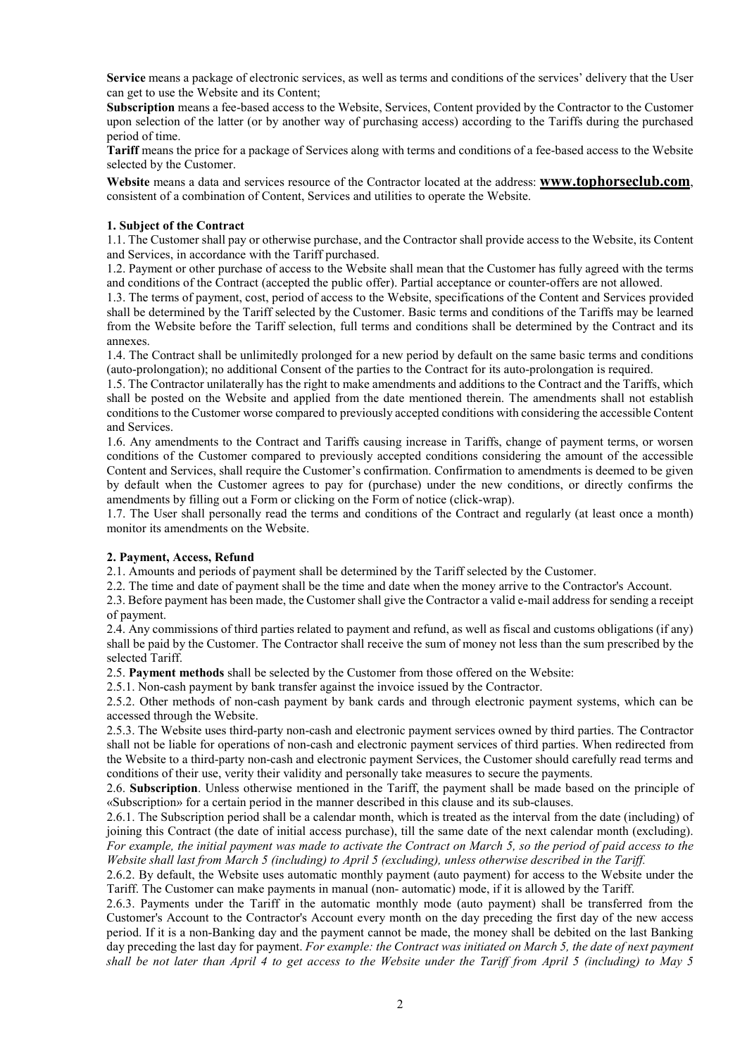**Service** means a package of electronic services, as well as terms and conditions of the services' delivery that the User can get to use the Website and its Content;

**Subscription** means a fee-based access to the Website, Services, Content provided by the Contractor to the Customer upon selection of the latter (or by another way of purchasing access) according to the Tariffs during the purchased period of time.

**Tariff** means the price for a package of Services along with terms and conditions of a fee-based access to the Website selected by the Customer.

**Website** means a data and services resource of the Contractor located at the address: **www.tophorseclub.com**, consistent of a combination of Content, Services and utilities to operate the Website.

## **1. Subject of the Contract**

1.1. The Customer shall pay or otherwise purchase, and the Contractor shall provide access to the Website, its Content and Services, in accordance with the Tariff purchased.

1.2. Payment or other purchase of access to the Website shall mean that the Customer has fully agreed with the terms and conditions of the Contract (accepted the public offer). Partial acceptance or counter-offers are not allowed.

1.3. The terms of payment, cost, period of access to the Website, specifications of the Content and Services provided shall be determined by the Tariff selected by the Customer. Basic terms and conditions of the Tariffs may be learned from the Website before the Tariff selection, full terms and conditions shall be determined by the Contract and its annexes.

1.4. The Contract shall be unlimitedly prolonged for a new period by default on the same basic terms and conditions (auto-prolongation); no additional Consent of the parties to the Contract for its auto-prolongation is required.

1.5. The Contractor unilaterally has the right to make amendments and additions to the Contract and the Tariffs, which shall be posted on the Website and applied from the date mentioned therein. The amendments shall not establish conditions to the Customer worse compared to previously accepted conditions with considering the accessible Content and Services.

1.6. Any amendments to the Contract and Tariffs causing increase in Tariffs, change of payment terms, or worsen conditions of the Customer compared to previously accepted conditions considering the amount of the accessible Content and Services, shall require the Customer's confirmation. Confirmation to amendments is deemed to be given by default when the Customer agrees to pay for (purchase) under the new conditions, or directly confirms the amendments by filling out a Form or clicking on the Form of notice (click-wrap).

1.7. The User shall personally read the terms and conditions of the Contract and regularly (at least once a month) monitor its amendments on the Website.

## **2. Payment, Access, Refund**

2.1. Amounts and periods of payment shall be determined by the Tariff selected by the Customer.

2.2. The time and date of payment shall be the time and date when the money arrive to the Contractor's Account.

2.3. Before payment has been made, the Customer shall give the Contractor a valid e-mail address for sending a receipt of payment.

2.4. Any commissions of third parties related to payment and refund, as well as fiscal and customs obligations (if any) shall be paid by the Customer. The Contractor shall receive the sum of money not less than the sum prescribed by the selected Tariff.

2.5. **Payment methods** shall be selected by the Customer from those offered on the Website:

2.5.1. Non-cash payment by bank transfer against the invoice issued by the Contractor.

2.5.2. Other methods of non-cash payment by bank cards and through electronic payment systems, which can be accessed through the Website.

2.5.3. The Website uses third-party non-cash and electronic payment services owned by third parties. The Contractor shall not be liable for operations of non-cash and electronic payment services of third parties. When redirected from the Website to a third-party non-cash and electronic payment Services, the Customer should carefully read terms and conditions of their use, verity their validity and personally take measures to secure the payments.

2.6. **Subscription**. Unless otherwise mentioned in the Tariff, the payment shall be made based on the principle of «Subscription» for a certain period in the manner described in this clause and its sub-clauses.

2.6.1. The Subscription period shall be a calendar month, which is treated as the interval from the date (including) of joining this Contract (the date of initial access purchase), till the same date of the next calendar month (excluding). *For example, the initial payment was made to activate the Contract on March 5, so the period of paid access to the Website shall last from March 5 (including) to April 5 (excluding), unless otherwise described in the Tariff.*

2.6.2. By default, the Website uses automatic monthly payment (auto payment) for access to the Website under the Tariff. The Customer can make payments in manual (non- automatic) mode, if it is allowed by the Tariff.

2.6.3. Payments under the Tariff in the automatic monthly mode (auto payment) shall be transferred from the Customer's Account to the Contractor's Account every month on the day preceding the first day of the new access period. If it is a non-Banking day and the payment cannot be made, the money shall be debited on the last Banking day preceding the last day for payment. For example: the Contract was initiated on March 5, the date of next payment *shall be not later than April 4 to get access to the Website under the Tariff from April 5 (including) to May 5*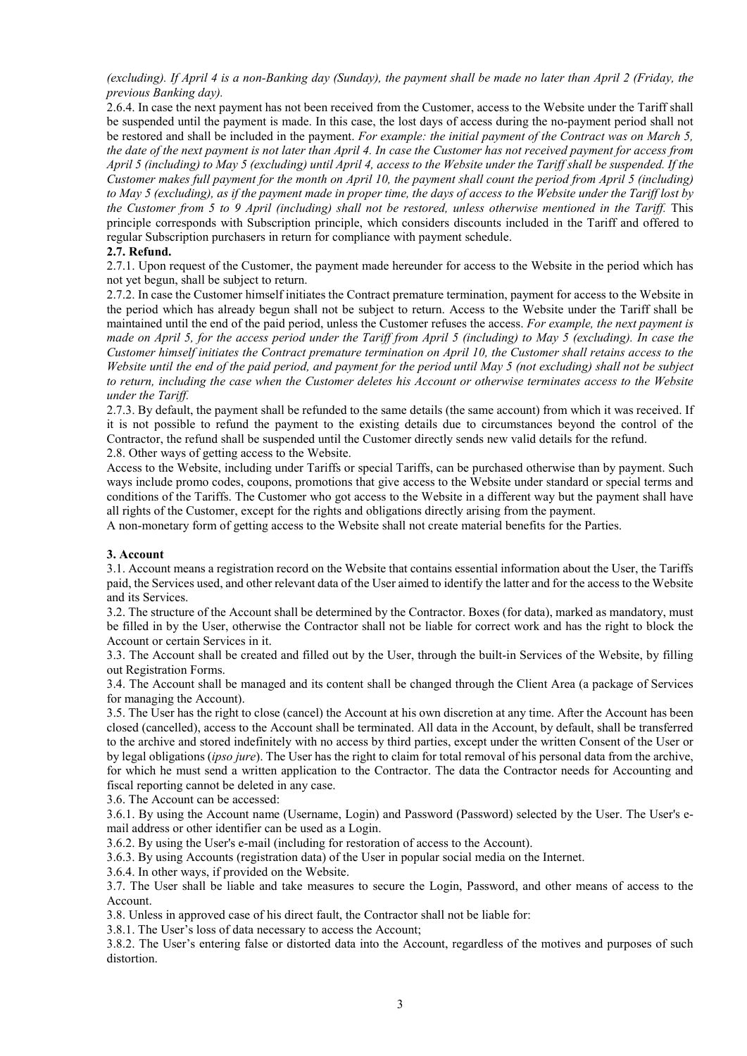*(excluding). If April 4 is a non-Banking day (Sunday), the payment shall be made no later than April 2 (Friday, the previous Banking day).*

2.6.4. In case the next payment has not been received from the Customer, access to the Website under the Tariff shall be suspended until the payment is made. In this case, the lost days of access during the no-payment period shall not be restored and shall be included in the payment. *For example: the initial payment of the Contract was on March 5, the date of the next payment is not later than April 4. In case the Customer has not received payment for access from April 5 (including) to May 5 (excluding) until April 4, access to the Website under the Tariff shall be suspended. If the Customer makes full payment for the month on April 10, the payment shall count the period from April 5 (including) to May 5 (excluding), as if the payment made in proper time, the days of access to the Website under the Tariff lost by the Customer from 5 to 9 April (including) shall not be restored, unless otherwise mentioned in the Tariff.* This principle corresponds with Subscription principle, which considers discounts included in the Tariff and offered to regular Subscription purchasers in return for compliance with payment schedule.

## **2.7. Refund.**

2.7.1. Upon request of the Customer, the payment made hereunder for access to the Website in the period which has not yet begun, shall be subject to return.

2.7.2. In case the Customer himself initiates the Contract premature termination, payment for access to the Website in the period which has already begun shall not be subject to return. Access to the Website under the Tariff shall be maintained until the end of the paid period, unless the Customer refuses the access. *For example, the next payment is made on April 5, for the access period under the Tariff from April 5 (including) to May 5 (excluding). In case the Customer himself initiates the Contract premature termination on April 10, the Customer shall retains access to the Website until the end of the paid period, and payment for the period until May 5 (not excluding) shall not be subject to return, including the case when the Customer deletes his Account or otherwise terminates access to the Website under the Tariff.*

2.7.3. By default, the payment shall be refunded to the same details (the same account) from which it was received. If it is not possible to refund the payment to the existing details due to circumstances beyond the control of the Contractor, the refund shall be suspended until the Customer directly sends new valid details for the refund. 2.8. Other ways of getting access to the Website.

Access to the Website, including under Tariffs or special Tariffs, can be purchased otherwise than by payment. Such ways include promo codes, coupons, promotions that give access to the Website under standard or special terms and conditions of the Tariffs. The Customer who got access to the Website in a different way but the payment shall have all rights of the Customer, except for the rights and obligations directly arising from the payment.

A non-monetary form of getting access to the Website shall not create material benefits for the Parties.

## **3. Account**

3.1. Account means a registration record on the Website that contains essential information about the User, the Tariffs paid, the Services used, and other relevant data of the User aimed to identify the latter and for the access to the Website and its Services.

3.2. The structure of the Account shall be determined by the Contractor. Boxes (for data), marked as mandatory, must be filled in by the User, otherwise the Contractor shall not be liable for correct work and has the right to block the Account or certain Services in it.

3.3. The Account shall be created and filled out by the User, through the built-in Services of the Website, by filling out Registration Forms.

3.4. The Account shall be managed and its content shall be changed through the Client Area (a package of Services for managing the Account).

3.5. The User has the right to close (cancel) the Account at his own discretion at any time. After the Account has been closed (cancelled), access to the Account shall be terminated. All data in the Account, by default, shall be transferred to the archive and stored indefinitely with no access by third parties, except under the written Consent of the User or by legal obligations (*ipso jure*). The User has the right to claim for total removal of his personal data from the archive, for which he must send a written application to the Contractor. The data the Contractor needs for Accounting and fiscal reporting cannot be deleted in any case.

3.6. The Account can be accessed:

3.6.1. By using the Account name (Username, Login) and Password (Password) selected by the User. The User's email address or other identifier can be used as a Login.

3.6.2. By using the User's e-mail (including for restoration of access to the Account).

3.6.3. By using Accounts (registration data) of the User in popular social media on the Internet.

3.6.4. In other ways, if provided on the Website.

3.7. The User shall be liable and take measures to secure the Login, Password, and other means of access to the Account.

3.8. Unless in approved case of his direct fault, the Contractor shall not be liable for:

3.8.1. The User's loss of data necessary to access the Account;

3.8.2. The User's entering false or distorted data into the Account, regardless of the motives and purposes of such distortion.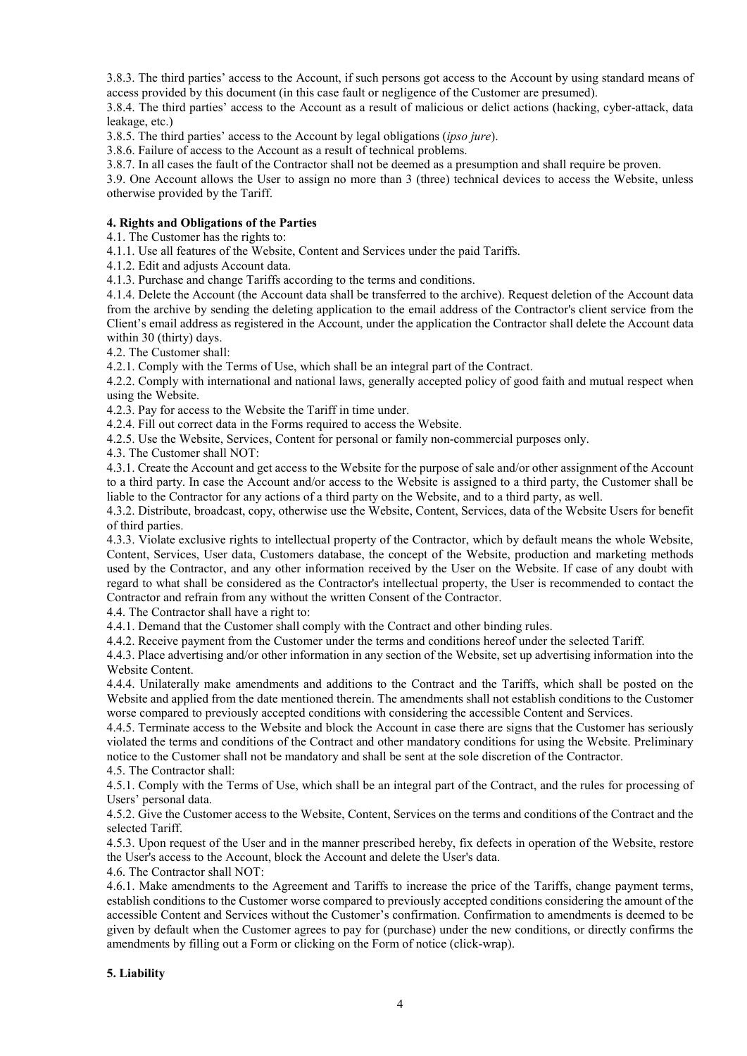3.8.3. The third parties' access to the Account, if such persons got access to the Account by using standard means of access provided by this document (in this case fault or negligence of the Customer are presumed).

3.8.4. The third parties' access to the Account as a result of malicious or delict actions (hacking, cyber-attack, data leakage, etc.)

3.8.5. The third parties' access to the Account by legal obligations (*ipso jure*).

3.8.6. Failure of access to the Account as a result of technical problems.

3.8.7. In all cases the fault of the Contractor shall not be deemed as a presumption and shall require be proven.

3.9. One Account allows the User to assign no more than 3 (three) technical devices to access the Website, unless otherwise provided by the Tariff.

#### **4. Rights and Obligations of the Parties**

4.1. The Customer has the rights to:

4.1.1. Use all features of the Website, Content and Services under the paid Tariffs.

4.1.2. Edit and adjusts Account data.

4.1.3. Purchase and change Tariffs according to the terms and conditions.

4.1.4. Delete the Account (the Account data shall be transferred to the archive). Request deletion of the Account data from the archive by sending the deleting application to the email address of the Contractor's client service from the Client's email address as registered in the Account, under the application the Contractor shall delete the Account data within 30 (thirty) days.

4.2. The Customer shall:

4.2.1. Comply with the Terms of Use, which shall be an integral part of the Contract.

4.2.2. Comply with international and national laws, generally accepted policy of good faith and mutual respect when using the Website.

4.2.3. Pay for access to the Website the Tariff in time under.

4.2.4. Fill out correct data in the Forms required to access the Website.

4.2.5. Use the Website, Services, Content for personal or family non-commercial purposes only.

4.3. The Customer shall NOT:

4.3.1. Create the Account and get access to the Website for the purpose of sale and/or other assignment of the Account to a third party. In case the Account and/or access to the Website is assigned to a third party, the Customer shall be liable to the Contractor for any actions of a third party on the Website, and to a third party, as well.

4.3.2. Distribute, broadcast, copy, otherwise use the Website, Content, Services, data of the Website Users for benefit of third parties.

4.3.3. Violate exclusive rights to intellectual property of the Contractor, which by default means the whole Website, Content, Services, User data, Customers database, the concept of the Website, production and marketing methods used by the Contractor, and any other information received by the User on the Website. If case of any doubt with regard to what shall be considered as the Contractor's intellectual property, the User is recommended to contact the Contractor and refrain from any without the written Consent of the Contractor.

4.4. The Contractor shall have a right to:

4.4.1. Demand that the Customer shall comply with the Contract and other binding rules.

4.4.2. Receive payment from the Customer under the terms and conditions hereof under the selected Tariff.

4.4.3. Place advertising and/or other information in any section of the Website, set up advertising information into the Website Content.

4.4.4. Unilaterally make amendments and additions to the Contract and the Tariffs, which shall be posted on the Website and applied from the date mentioned therein. The amendments shall not establish conditions to the Customer worse compared to previously accepted conditions with considering the accessible Content and Services.

4.4.5. Terminate access to the Website and block the Account in case there are signs that the Customer has seriously violated the terms and conditions of the Contract and other mandatory conditions for using the Website. Preliminary notice to the Customer shall not be mandatory and shall be sent at the sole discretion of the Contractor. 4.5. The Contractor shall:

4.5.1. Comply with the Terms of Use, which shall be an integral part of the Contract, and the rules for processing of Users' personal data.

4.5.2. Give the Customer access to the Website, Content, Services on the terms and conditions of the Contract and the selected Tariff.

4.5.3. Upon request of the User and in the manner prescribed hereby, fix defects in operation of the Website, restore the User's access to the Account, block the Account and delete the User's data.

4.6. The Contractor shall NOT:

4.6.1. Make amendments to the Agreement and Tariffs to increase the price of the Tariffs, change payment terms, establish conditions to the Customer worse compared to previously accepted conditions considering the amount of the accessible Content and Services without the Customer's confirmation. Confirmation to amendments is deemed to be given by default when the Customer agrees to pay for (purchase) under the new conditions, or directly confirms the amendments by filling out a Form or clicking on the Form of notice (click-wrap).

#### **5. Liability**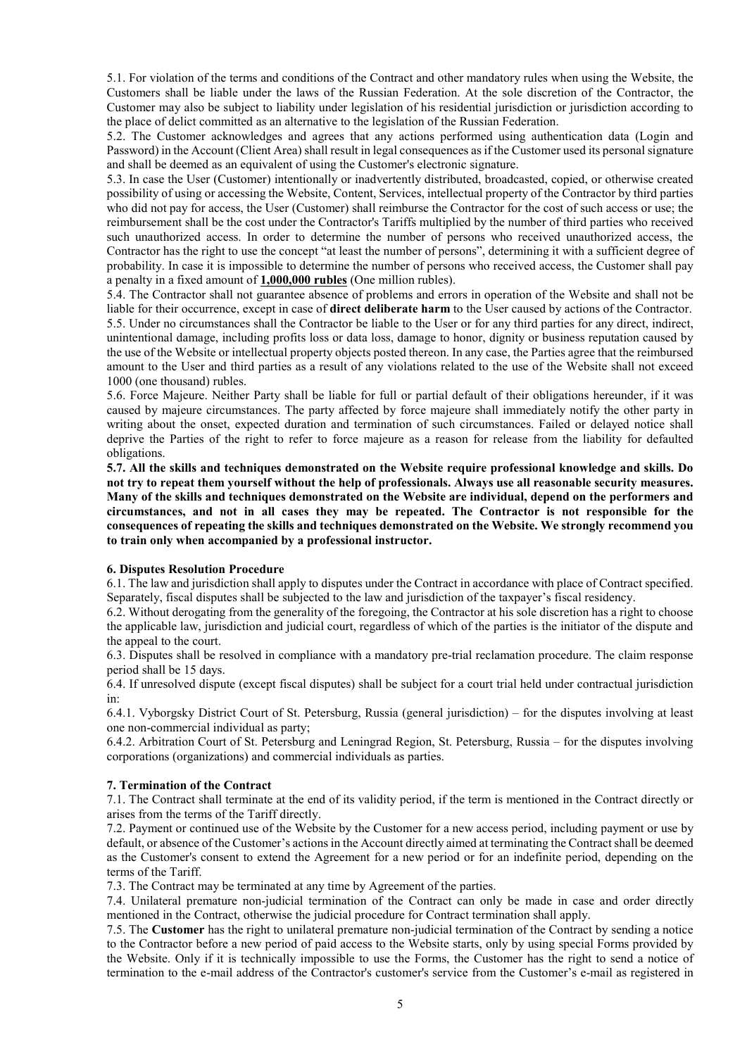5.1. For violation of the terms and conditions of the Contract and other mandatory rules when using the Website, the Customers shall be liable under the laws of the Russian Federation. At the sole discretion of the Contractor, the Customer may also be subject to liability under legislation of his residential jurisdiction or jurisdiction according to the place of delict committed as an alternative to the legislation of the Russian Federation.

5.2. The Customer acknowledges and agrees that any actions performed using authentication data (Login and Password) in the Account (Client Area) shall result in legal consequences as if the Customer used its personal signature and shall be deemed as an equivalent of using the Customer's electronic signature.

5.3. In case the User (Customer) intentionally or inadvertently distributed, broadcasted, copied, or otherwise created possibility of using or accessing the Website, Content, Services, intellectual property of the Contractor by third parties who did not pay for access, the User (Customer) shall reimburse the Contractor for the cost of such access or use; the reimbursement shall be the cost under the Contractor's Tariffs multiplied by the number of third parties who received such unauthorized access. In order to determine the number of persons who received unauthorized access, the Contractor has the right to use the concept "at least the number of persons", determining it with a sufficient degree of probability. In case it is impossible to determine the number of persons who received access, the Customer shall pay a penalty in a fixed amount of **1,000,000 rubles** (One million rubles).

5.4. The Contractor shall not guarantee absence of problems and errors in operation of the Website and shall not be liable for their occurrence, except in case of **direct deliberate harm** to the User caused by actions of the Contractor. 5.5. Under no circumstances shall the Contractor be liable to the User or for any third parties for any direct, indirect, unintentional damage, including profits loss or data loss, damage to honor, dignity or business reputation caused by the use of the Website or intellectual property objects posted thereon. In any case, the Parties agree that the reimbursed amount to the User and third parties as a result of any violations related to the use of the Website shall not exceed 1000 (one thousand) rubles.

5.6. Force Majeure. Neither Party shall be liable for full or partial default of their obligations hereunder, if it was caused by majeure circumstances. The party affected by force majeure shall immediately notify the other party in writing about the onset, expected duration and termination of such circumstances. Failed or delayed notice shall deprive the Parties of the right to refer to force majeure as a reason for release from the liability for defaulted obligations.

**5.7. All the skills and techniques demonstrated on the Website require professional knowledge and skills. Do not try to repeat them yourself without the help of professionals. Always use all reasonable security measures. Many of the skills and techniques demonstrated on the Website are individual, depend on the performers and circumstances, and not in all cases they may be repeated. The Contractor is not responsible for the consequences of repeating the skills and techniques demonstrated on the Website. We strongly recommend you to train only when accompanied by a professional instructor.**

## **6. Disputes Resolution Procedure**

6.1. The law and jurisdiction shall apply to disputes under the Contract in accordance with place of Contract specified. Separately, fiscal disputes shall be subjected to the law and jurisdiction of the taxpayer's fiscal residency.

6.2. Without derogating from the generality of the foregoing, the Contractor at his sole discretion has a right to choose the applicable law, jurisdiction and judicial court, regardless of which of the parties is the initiator of the dispute and the appeal to the court.

6.3. Disputes shall be resolved in compliance with a mandatory pre-trial reclamation procedure. The claim response period shall be 15 days.

6.4. If unresolved dispute (except fiscal disputes) shall be subject for a court trial held under contractual jurisdiction in:

6.4.1. Vyborgsky District Court of St. Petersburg, Russia (general jurisdiction) – for the disputes involving at least one non-commercial individual as party;

6.4.2. Arbitration Court of St. Petersburg and Leningrad Region, St. Petersburg, Russia – for the disputes involving corporations (organizations) and commercial individuals as parties.

## **7. Termination of the Contract**

7.1. The Contract shall terminate at the end of its validity period, if the term is mentioned in the Contract directly or arises from the terms of the Tariff directly.

7.2. Payment or continued use of the Website by the Customer for a new access period, including payment or use by default, or absence of the Customer's actions in the Account directly aimed at terminating the Contract shall be deemed as the Customer's consent to extend the Agreement for a new period or for an indefinite period, depending on the terms of the Tariff.

7.3. The Contract may be terminated at any time by Agreement of the parties.

7.4. Unilateral premature non-judicial termination of the Contract can only be made in case and order directly mentioned in the Contract, otherwise the judicial procedure for Contract termination shall apply.

7.5. The **Customer** has the right to unilateral premature non-judicial termination of the Contract by sending a notice to the Contractor before a new period of paid access to the Website starts, only by using special Forms provided by the Website. Only if it is technically impossible to use the Forms, the Customer has the right to send a notice of termination to the e-mail address of the Contractor's customer's service from the Customer's e-mail as registered in